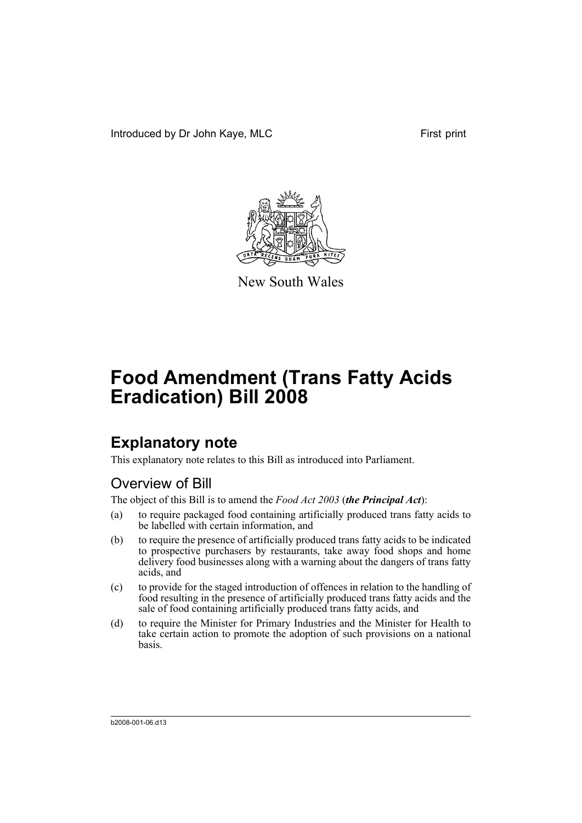Introduced by Dr John Kaye, MLC First print



New South Wales

# **Food Amendment (Trans Fatty Acids Eradication) Bill 2008**

# **Explanatory note**

This explanatory note relates to this Bill as introduced into Parliament.

## Overview of Bill

The object of this Bill is to amend the *Food Act 2003* (*the Principal Act*):

- (a) to require packaged food containing artificially produced trans fatty acids to be labelled with certain information, and
- (b) to require the presence of artificially produced trans fatty acids to be indicated to prospective purchasers by restaurants, take away food shops and home delivery food businesses along with a warning about the dangers of trans fatty acids, and
- (c) to provide for the staged introduction of offences in relation to the handling of food resulting in the presence of artificially produced trans fatty acids and the sale of food containing artificially produced trans fatty acids, and
- (d) to require the Minister for Primary Industries and the Minister for Health to take certain action to promote the adoption of such provisions on a national basis.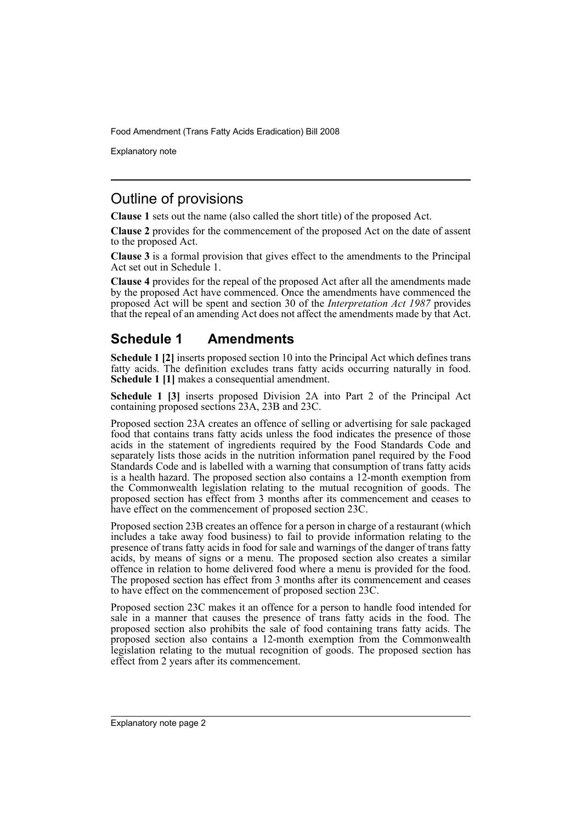Explanatory note

### Outline of provisions

**Clause 1** sets out the name (also called the short title) of the proposed Act.

**Clause 2** provides for the commencement of the proposed Act on the date of assent to the proposed Act.

**Clause 3** is a formal provision that gives effect to the amendments to the Principal Act set out in Schedule 1.

**Clause 4** provides for the repeal of the proposed Act after all the amendments made by the proposed Act have commenced. Once the amendments have commenced the proposed Act will be spent and section 30 of the *Interpretation Act 1987* provides that the repeal of an amending Act does not affect the amendments made by that Act.

### **Schedule 1 Amendments**

**Schedule 1 [2]** inserts proposed section 10 into the Principal Act which defines trans fatty acids. The definition excludes trans fatty acids occurring naturally in food. **Schedule 1 [1]** makes a consequential amendment.

**Schedule 1 [3]** inserts proposed Division 2A into Part 2 of the Principal Act containing proposed sections 23A, 23B and 23C.

Proposed section 23A creates an offence of selling or advertising for sale packaged food that contains trans fatty acids unless the food indicates the presence of those acids in the statement of ingredients required by the Food Standards Code and separately lists those acids in the nutrition information panel required by the Food Standards Code and is labelled with a warning that consumption of trans fatty acids is a health hazard. The proposed section also contains a 12-month exemption from the Commonwealth legislation relating to the mutual recognition of goods. The proposed section has effect from 3 months after its commencement and ceases to have effect on the commencement of proposed section 23C.

Proposed section 23B creates an offence for a person in charge of a restaurant (which includes a take away food business) to fail to provide information relating to the presence of trans fatty acids in food for sale and warnings of the danger of trans fatty acids, by means of signs or a menu. The proposed section also creates a similar offence in relation to home delivered food where a menu is provided for the food. The proposed section has effect from 3 months after its commencement and ceases to have effect on the commencement of proposed section 23C.

Proposed section 23C makes it an offence for a person to handle food intended for sale in a manner that causes the presence of trans fatty acids in the food. The proposed section also prohibits the sale of food containing trans fatty acids. The proposed section also contains a 12-month exemption from the Commonwealth legislation relating to the mutual recognition of goods. The proposed section has effect from 2 years after its commencement.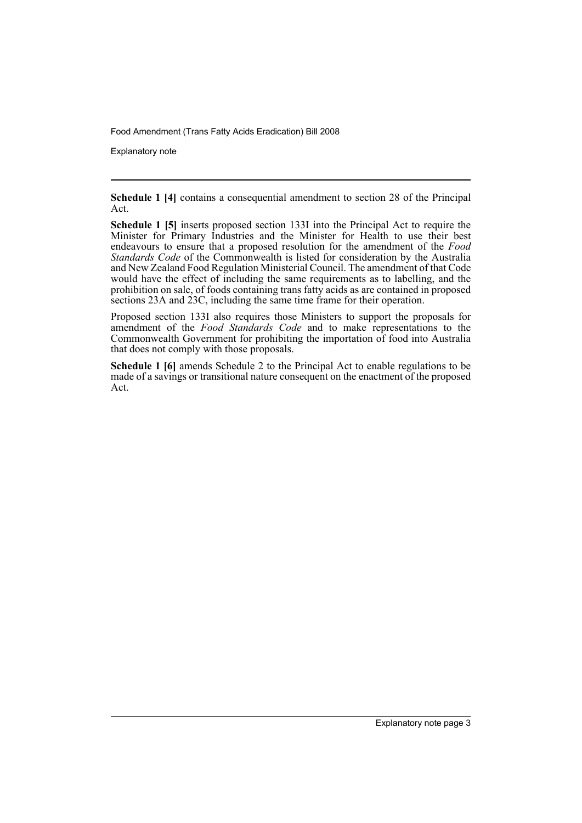Explanatory note

**Schedule 1 [4]** contains a consequential amendment to section 28 of the Principal Act.

**Schedule 1 [5]** inserts proposed section 133I into the Principal Act to require the Minister for Primary Industries and the Minister for Health to use their best endeavours to ensure that a proposed resolution for the amendment of the *Food Standards Code* of the Commonwealth is listed for consideration by the Australia and New Zealand Food Regulation Ministerial Council. The amendment of that Code would have the effect of including the same requirements as to labelling, and the prohibition on sale, of foods containing trans fatty acids as are contained in proposed sections 23A and 23C, including the same time frame for their operation.

Proposed section 133I also requires those Ministers to support the proposals for amendment of the *Food Standards Code* and to make representations to the Commonwealth Government for prohibiting the importation of food into Australia that does not comply with those proposals.

**Schedule 1 [6]** amends Schedule 2 to the Principal Act to enable regulations to be made of a savings or transitional nature consequent on the enactment of the proposed Act.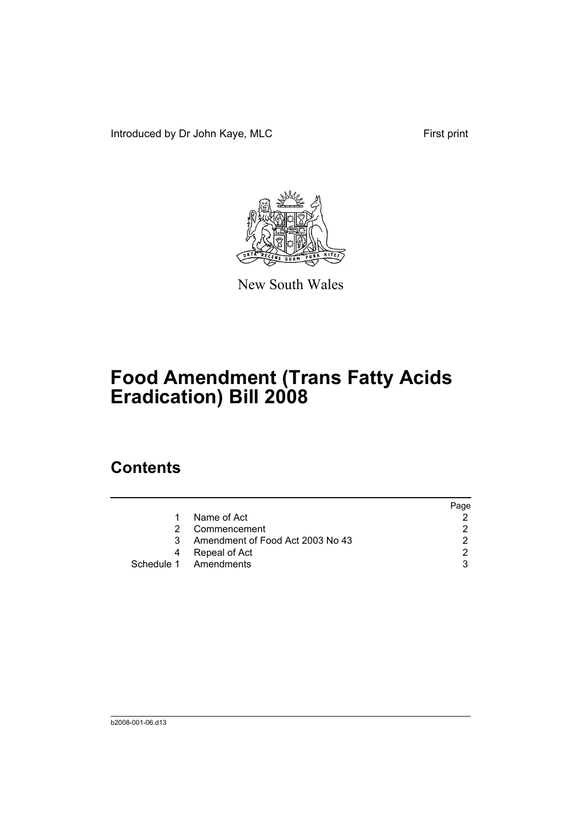Introduced by Dr John Kaye, MLC First print



New South Wales

# **Food Amendment (Trans Fatty Acids Eradication) Bill 2008**

## **Contents**

|    |                                  | Page |
|----|----------------------------------|------|
| 1. | Name of Act                      |      |
| 2. | Commencement                     |      |
| 3  | Amendment of Food Act 2003 No 43 |      |
| 4  | Repeal of Act                    | ◠    |
|    | Schedule 1 Amendments            |      |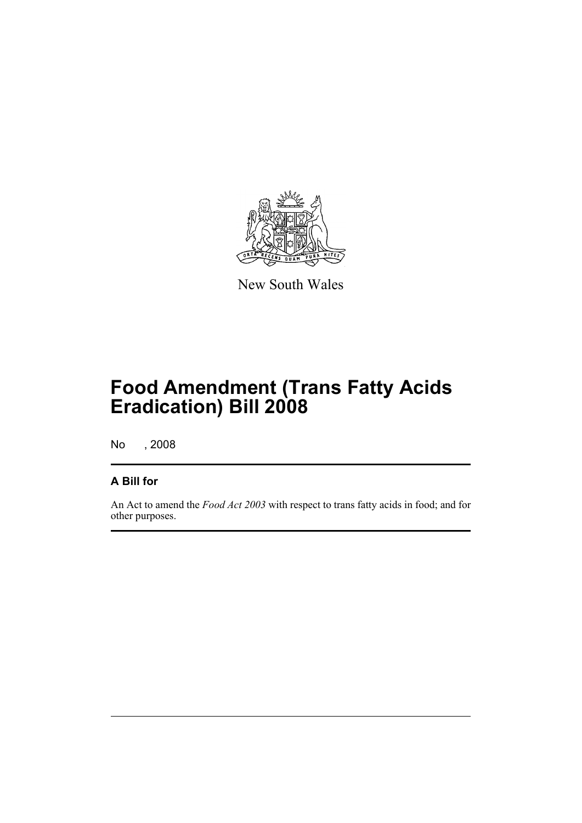

New South Wales

# **Food Amendment (Trans Fatty Acids Eradication) Bill 2008**

No , 2008

### **A Bill for**

An Act to amend the *Food Act 2003* with respect to trans fatty acids in food; and for other purposes.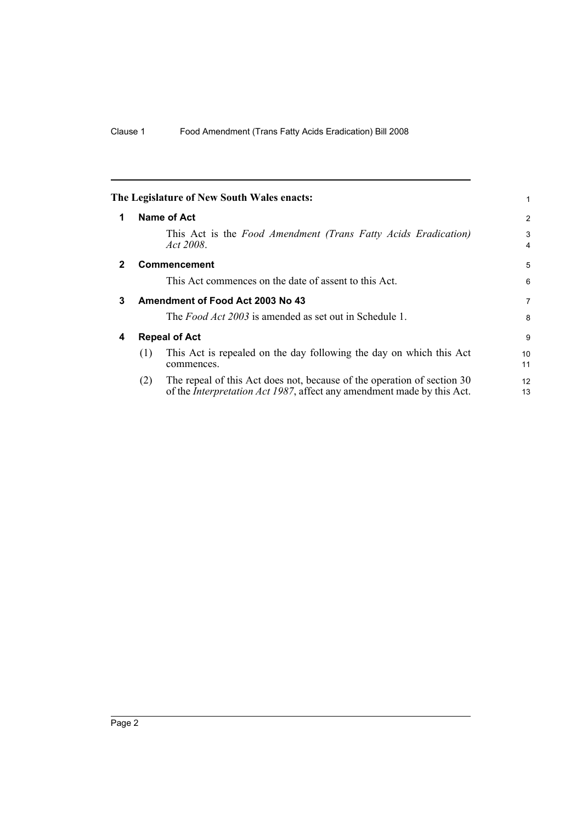<span id="page-7-3"></span><span id="page-7-2"></span><span id="page-7-1"></span><span id="page-7-0"></span>

|              |     | The Legislature of New South Wales enacts:                                                                                                                | 1              |
|--------------|-----|-----------------------------------------------------------------------------------------------------------------------------------------------------------|----------------|
| 1            |     | <b>Name of Act</b>                                                                                                                                        | 2              |
|              |     | This Act is the Food Amendment (Trans Fatty Acids Eradication)<br>Act 2008.                                                                               | 3<br>4         |
| $\mathbf{2}$ |     | <b>Commencement</b>                                                                                                                                       | 5              |
|              |     | This Act commences on the date of assent to this Act.                                                                                                     | 6              |
| 3            |     | Amendment of Food Act 2003 No 43                                                                                                                          | $\overline{7}$ |
|              |     | The <i>Food Act 2003</i> is amended as set out in Schedule 1.                                                                                             | 8              |
| 4            |     | <b>Repeal of Act</b>                                                                                                                                      | 9              |
|              | (1) | This Act is repealed on the day following the day on which this Act<br>commences.                                                                         | 10<br>11       |
|              | (2) | The repeal of this Act does not, because of the operation of section 30<br>of the <i>Interpretation Act 1987</i> , affect any amendment made by this Act. | 12<br>13       |
|              |     |                                                                                                                                                           |                |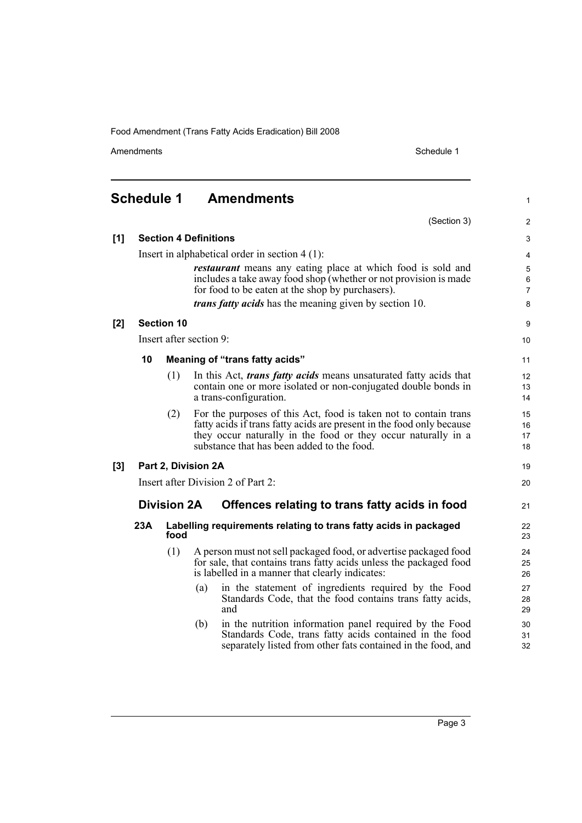Amendments Schedule 1

1

## <span id="page-8-0"></span>**Schedule 1 Amendments**

|     |                     |                              |     | (Section 3)                                                                                                                                                                                                                                              | 2                              |
|-----|---------------------|------------------------------|-----|----------------------------------------------------------------------------------------------------------------------------------------------------------------------------------------------------------------------------------------------------------|--------------------------------|
| [1] |                     | <b>Section 4 Definitions</b> |     |                                                                                                                                                                                                                                                          | 3                              |
|     |                     |                              |     | Insert in alphabetical order in section $4(1)$ :                                                                                                                                                                                                         | 4                              |
|     |                     |                              |     | <i>restaurant</i> means any eating place at which food is sold and<br>includes a take away food shop (whether or not provision is made<br>for food to be eaten at the shop by purchasers).                                                               | 5<br>$\,6\,$<br>$\overline{7}$ |
|     |                     |                              |     | <i>trans fatty acids</i> has the meaning given by section 10.                                                                                                                                                                                            | 8                              |
| [2] |                     | <b>Section 10</b>            |     |                                                                                                                                                                                                                                                          | 9                              |
|     |                     | Insert after section 9:      |     |                                                                                                                                                                                                                                                          | 10                             |
|     | 10                  |                              |     | <b>Meaning of "trans fatty acids"</b>                                                                                                                                                                                                                    | 11                             |
|     |                     | (1)                          |     | In this Act, <i>trans fatty acids</i> means unsaturated fatty acids that<br>contain one or more isolated or non-conjugated double bonds in<br>a trans-configuration.                                                                                     | 12<br>13<br>14                 |
|     |                     | (2)                          |     | For the purposes of this Act, food is taken not to contain trans<br>fatty acids if trans fatty acids are present in the food only because<br>they occur naturally in the food or they occur naturally in a<br>substance that has been added to the food. | 15<br>16<br>17<br>18           |
| [3] | Part 2, Division 2A |                              | 19  |                                                                                                                                                                                                                                                          |                                |
|     |                     |                              |     | Insert after Division 2 of Part 2:                                                                                                                                                                                                                       | 20                             |
|     |                     | <b>Division 2A</b>           |     | Offences relating to trans fatty acids in food                                                                                                                                                                                                           | 21                             |
|     | 23A                 | food                         |     | Labelling requirements relating to trans fatty acids in packaged                                                                                                                                                                                         | 22<br>23                       |
|     |                     | (1)                          |     | A person must not sell packaged food, or advertise packaged food<br>for sale, that contains trans fatty acids unless the packaged food<br>is labelled in a manner that clearly indicates:                                                                | 24<br>25<br>26                 |
|     |                     |                              | (a) | in the statement of ingredients required by the Food<br>Standards Code, that the food contains trans fatty acids,<br>and                                                                                                                                 | 27<br>28<br>29                 |
|     |                     |                              | (b) | in the nutrition information panel required by the Food<br>Standards Code, trans fatty acids contained in the food<br>separately listed from other fats contained in the food, and                                                                       | 30<br>31<br>32                 |
|     |                     |                              |     |                                                                                                                                                                                                                                                          |                                |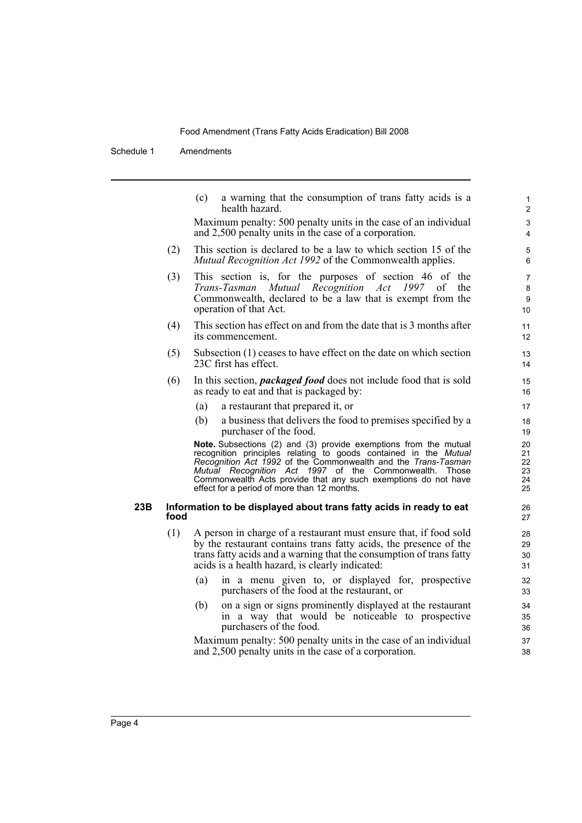Schedule 1 Amendments

(c) a warning that the consumption of trans fatty acids is a health hazard.

Maximum penalty: 500 penalty units in the case of an individual and 2,500 penalty units in the case of a corporation.

- (2) This section is declared to be a law to which section 15 of the *Mutual Recognition Act 1992* of the Commonwealth applies.
- (3) This section is, for the purposes of section 46 of the *Trans-Tasman Mutual Recognition Act 1997* of the Commonwealth, declared to be a law that is exempt from the operation of that Act.
- (4) This section has effect on and from the date that is 3 months after its commencement.
- (5) Subsection (1) ceases to have effect on the date on which section 23C first has effect.
- (6) In this section, *packaged food* does not include food that is sold as ready to eat and that is packaged by:
	- (a) a restaurant that prepared it, or
	- (b) a business that delivers the food to premises specified by a purchaser of the food.

**Note.** Subsections (2) and (3) provide exemptions from the mutual recognition principles relating to goods contained in the *Mutual Recognition Act 1992* of the Commonwealth and the *Trans-Tasman Mutual Recognition Act 1997* of the Commonwealth. Those Commonwealth Acts provide that any such exemptions do not have effect for a period of more than 12 months.

#### **23B Information to be displayed about trans fatty acids in ready to eat food**

- (1) A person in charge of a restaurant must ensure that, if food sold by the restaurant contains trans fatty acids, the presence of the trans fatty acids and a warning that the consumption of trans fatty acids is a health hazard, is clearly indicated:
	- (a) in a menu given to, or displayed for, prospective purchasers of the food at the restaurant, or
	- (b) on a sign or signs prominently displayed at the restaurant in a way that would be noticeable to prospective purchasers of the food.

Maximum penalty: 500 penalty units in the case of an individual and 2,500 penalty units in the case of a corporation.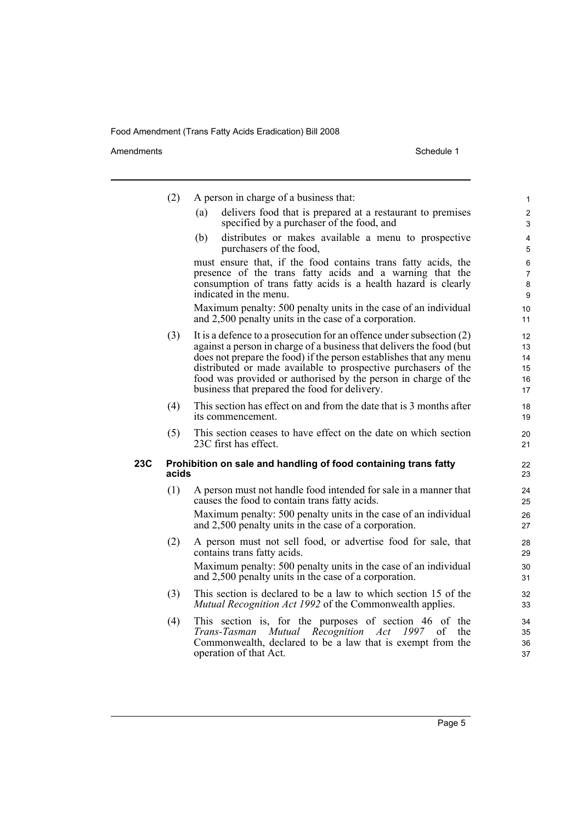Amendments Schedule 1

|     | (2)                                                                      | A person in charge of a business that:                                                                                                                                                                                                                                                                                                                                                                    | $\mathbf{1}$                     |
|-----|--------------------------------------------------------------------------|-----------------------------------------------------------------------------------------------------------------------------------------------------------------------------------------------------------------------------------------------------------------------------------------------------------------------------------------------------------------------------------------------------------|----------------------------------|
|     |                                                                          | delivers food that is prepared at a restaurant to premises<br>(a)<br>specified by a purchaser of the food, and                                                                                                                                                                                                                                                                                            | $\overline{2}$<br>3              |
|     |                                                                          | distributes or makes available a menu to prospective<br>(b)<br>purchasers of the food,                                                                                                                                                                                                                                                                                                                    | 4<br>5                           |
|     |                                                                          | must ensure that, if the food contains trans fatty acids, the<br>presence of the trans fatty acids and a warning that the<br>consumption of trans fatty acids is a health hazard is clearly<br>indicated in the menu.                                                                                                                                                                                     | 6<br>$\overline{7}$<br>8<br>9    |
|     |                                                                          | Maximum penalty: 500 penalty units in the case of an individual<br>and 2,500 penalty units in the case of a corporation.                                                                                                                                                                                                                                                                                  | 10<br>11                         |
|     | (3)                                                                      | It is a defence to a prosecution for an offence under subsection $(2)$<br>against a person in charge of a business that delivers the food (but<br>does not prepare the food) if the person establishes that any menu<br>distributed or made available to prospective purchasers of the<br>food was provided or authorised by the person in charge of the<br>business that prepared the food for delivery. | 12<br>13<br>14<br>15<br>16<br>17 |
|     | (4)                                                                      | This section has effect on and from the date that is 3 months after<br>its commencement.                                                                                                                                                                                                                                                                                                                  | 18<br>19                         |
|     | (5)                                                                      | This section ceases to have effect on the date on which section<br>23C first has effect.                                                                                                                                                                                                                                                                                                                  | 20<br>21                         |
| 23C | Prohibition on sale and handling of food containing trans fatty<br>acids |                                                                                                                                                                                                                                                                                                                                                                                                           |                                  |
|     | (1)                                                                      | A person must not handle food intended for sale in a manner that<br>causes the food to contain trans fatty acids.<br>Maximum penalty: 500 penalty units in the case of an individual<br>and 2,500 penalty units in the case of a corporation.                                                                                                                                                             | 24<br>25<br>26<br>27             |
|     | (2)                                                                      | A person must not sell food, or advertise food for sale, that<br>contains trans fatty acids.<br>Maximum penalty: 500 penalty units in the case of an individual<br>and 2,500 penalty units in the case of a corporation.                                                                                                                                                                                  | 28<br>29<br>30<br>31             |
|     | (3)                                                                      | This section is declared to be a law to which section 15 of the<br><i>Mutual Recognition Act 1992</i> of the Commonwealth applies.                                                                                                                                                                                                                                                                        | 32<br>33                         |
|     | (4)                                                                      | This section is, for the purposes of section 46 of the<br>Mutual Recognition Act<br>Trans-Tasman<br>1997<br>the<br><sub>of</sub><br>Commonwealth, declared to be a law that is exempt from the<br>operation of that Act.                                                                                                                                                                                  | 34<br>35<br>36<br>37             |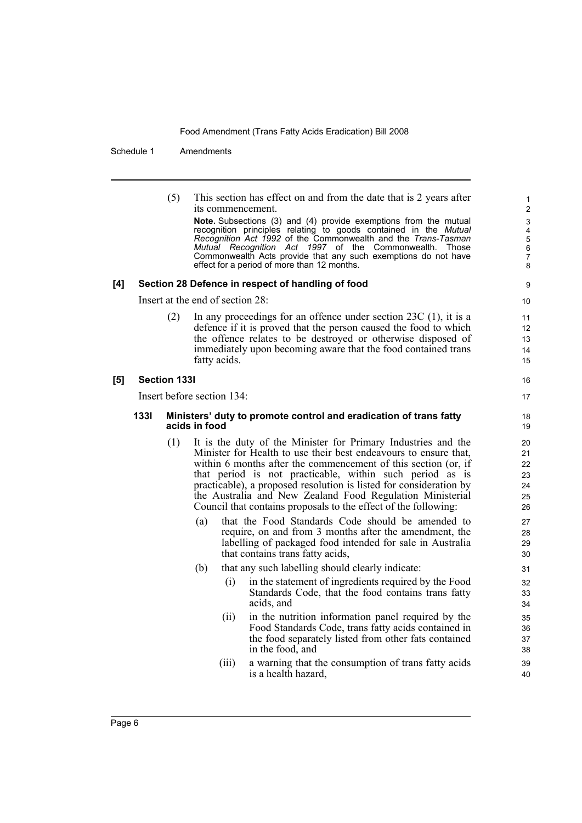Schedule 1 Amendments

(5) This section has effect on and from the date that is 2 years after its commencement.

**Note.** Subsections (3) and (4) provide exemptions from the mutual recognition principles relating to goods contained in the *Mutual Recognition Act 1992* of the Commonwealth and the *Trans-Tasman Mutual Recognition Act 1997* of the Commonwealth. Those Commonwealth Acts provide that any such exemptions do not have effect for a period of more than 12 months.

#### **[4] Section 28 Defence in respect of handling of food**

Insert at the end of section 28:

(2) In any proceedings for an offence under section 23C (1), it is a defence if it is proved that the person caused the food to which the offence relates to be destroyed or otherwise disposed of immediately upon becoming aware that the food contained trans fatty acids.

#### **[5] Section 133I**

Insert before section 134:

#### **133I Ministers' duty to promote control and eradication of trans fatty acids in food**

- (1) It is the duty of the Minister for Primary Industries and the Minister for Health to use their best endeavours to ensure that, within 6 months after the commencement of this section (or, if that period is not practicable, within such period as is practicable), a proposed resolution is listed for consideration by the Australia and New Zealand Food Regulation Ministerial Council that contains proposals to the effect of the following:
	- (a) that the Food Standards Code should be amended to require, on and from 3 months after the amendment, the labelling of packaged food intended for sale in Australia that contains trans fatty acids,
	- (b) that any such labelling should clearly indicate:
		- (i) in the statement of ingredients required by the Food Standards Code, that the food contains trans fatty acids, and
		- (ii) in the nutrition information panel required by the Food Standards Code, trans fatty acids contained in the food separately listed from other fats contained in the food, and
		- (iii) a warning that the consumption of trans fatty acids is a health hazard,

9 10

16 17